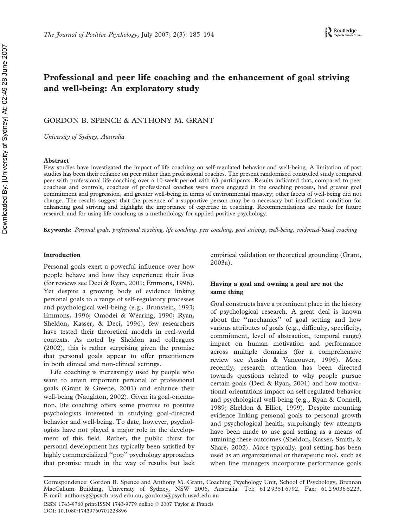# Professional and peer life coaching and the enhancement of goal striving and well-being: An exploratory study

GORDON B. SPENCE & ANTHONY M. GRANT

University of Sydney, Australia

### Abstract

Few studies have investigated the impact of life coaching on self-regulated behavior and well-being. A limitation of past studies has been their reliance on peer rather than professional coaches. The present randomized controlled study compared peer with professional life coaching over a 10-week period with 63 participants. Results indicated that, compared to peer coachees and controls, coachees of professional coaches were more engaged in the coaching process, had greater goal commitment and progression, and greater well-being in terms of environmental mastery; other facets of well-being did not change. The results suggest that the presence of a supportive person may be a necessary but insufficient condition for enhancing goal striving and highlight the importance of expertise in coaching. Recommendations are made for future research and for using life coaching as a methodology for applied positive psychology.

Keywords: Personal goals, professional coaching, life coaching, peer coaching, goal striving, well-being, evidenced-based coaching

### Introduction

Personal goals exert a powerful influence over how people behave and how they experience their lives (for reviews see Deci & Ryan, 2001; Emmons, 1996). Yet despite a growing body of evidence linking personal goals to a range of self-regulatory processes and psychological well-being (e.g., Brunstein, 1993; Emmons, 1996; Omodei & Wearing, 1990; Ryan, Sheldon, Kasser, & Deci, 1996), few researchers have tested their theoretical models in real-world contexts. As noted by Sheldon and colleagues (2002), this is rather surprising given the promise that personal goals appear to offer practitioners in both clinical and non-clinical settings.

Life coaching is increasingly used by people who want to attain important personal or professional goals (Grant & Greene, 2001) and enhance their well-being (Naughton, 2002). Given its goal-orientation, life coaching offers some promise to positive psychologists interested in studying goal-directed behavior and well-being. To date, however, psychologists have not played a major role in the development of this field. Rather, the public thirst for personal development has typically been satisfied by highly commercialized ''pop'' psychology approaches that promise much in the way of results but lack empirical validation or theoretical grounding (Grant, 2003a).

# Having a goal and owning a goal are not the same thing

Goal constructs have a prominent place in the history of psychological research. A great deal is known about the ''mechanics'' of goal setting and how various attributes of goals (e.g., difficulty, specificity, commitment, level of abstraction, temporal range) impact on human motivation and performance across multiple domains (for a comprehensive review see Austin & Vancouver, 1996). More recently, research attention has been directed towards questions related to why people pursue certain goals (Deci & Ryan, 2001) and how motivational orientations impact on self-regulated behavior and psychological well-being (e.g., Ryan & Connell, 1989; Sheldon & Elliot, 1999). Despite mounting evidence linking personal goals to personal growth and psychological health, surprisingly few attempts have been made to use goal setting as a means of attaining these outcomes (Sheldon, Kasser, Smith, & Share, 2002). More typically, goal setting has been used as an organizational or therapeutic tool, such as when line managers incorporate performance goals

ISSN 1743-9760 print/ISSN 1743-9779 online 2007 Taylor & Francis DOI: 10.1080/17439760701228896

Correspondence: Gordon B. Spence and Anthony M. Grant, Coaching Psychology Unit, School of Psychology, Brennan MacCallum Building, University of Sydney, NSW 2006, Australia. Tel: 61 2 9351 6792. Fax: 61 2 9036 5223. E-mail: anthonyg@psych.usyd.edu.au, gordons@psych.usyd.edu.au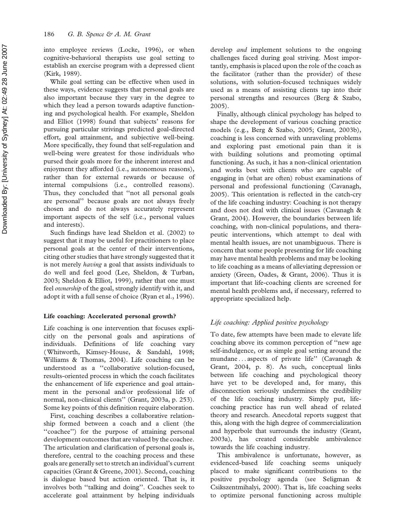into employee reviews (Locke, 1996), or when cognitive-behavioral therapists use goal setting to establish an exercise program with a depressed client (Kirk, 1989).

While goal setting can be effective when used in these ways, evidence suggests that personal goals are also important because they vary in the degree to which they lead a person towards adaptive functioning and psychological health. For example, Sheldon and Elliot (1998) found that subjects' reasons for pursuing particular strivings predicted goal-directed effort, goal attainment, and subjective well-being. More specifically, they found that self-regulation and well-being were greatest for those individuals who pursed their goals more for the inherent interest and enjoyment they afforded (i.e., autonomous reasons), rather than for external rewards or because of internal compulsions (i.e., controlled reasons). Thus, they concluded that ''not all personal goals are personal'' because goals are not always freely chosen and do not always accurately represent important aspects of the self (i.e., personal values and interests).

Such findings have lead Sheldon et al. (2002) to suggest that it may be useful for practitioners to place personal goals at the center of their interventions, citing other studies that have strongly suggested that it is not merely *having* a goal that assists individuals to do well and feel good (Lee, Sheldon, & Turban, 2003; Sheldon & Elliot, 1999), rather that one must feel ownership of the goal, strongly identify with it, and adopt it with a full sense of choice (Ryan et al., 1996).

### Life coaching: Accelerated personal growth?

Life coaching is one intervention that focuses explicitly on the personal goals and aspirations of individuals. Definitions of life coaching vary (Whitworth, Kimsey-House, & Sandahl, 1998; Williams & Thomas, 2004). Life coaching can be understood as a ''collaborative solution-focused, results-oriented process in which the coach facilitates the enhancement of life experience and goal attainment in the personal and/or professional life of normal, non-clinical clients'' (Grant, 2003a, p. 253). Some key points of this definition require elaboration.

First, coaching describes a collaborative relationship formed between a coach and a client (the "coachee") for the purpose of attaining personal development outcomes that are valued by the coachee. The articulation and clarification of personal goals is, therefore, central to the coaching process and these goals are generally set to stretch an individual's current capacities (Grant & Greene, 2001). Second, coaching is dialogue based but action oriented. That is, it involves both ''talking and doing''. Coaches seek to accelerate goal attainment by helping individuals develop *and* implement solutions to the ongoing challenges faced during goal striving. Most importantly, emphasis is placed upon the role of the coach as the facilitator (rather than the provider) of these solutions, with solution-focused techniques widely used as a means of assisting clients tap into their personal strengths and resources (Berg & Szabo, 2005).

Finally, although clinical psychology has helped to shape the development of various coaching practice models (e.g., Berg & Szabo, 2005; Grant, 2003b), coaching is less concerned with unraveling problems and exploring past emotional pain than it is with building solutions and promoting optimal functioning. As such, it has a non-clinical orientation and works best with clients who are capable of engaging in (what are often) robust examinations of personal and professional functioning (Cavanagh, 2005). This orientation is reflected in the catch-cry of the life coaching industry: Coaching is not therapy and does not deal with clinical issues (Cavanagh & Grant, 2004). However, the boundaries between life coaching, with non-clinical populations, and therapeutic interventions, which attempt to deal with mental health issues, are not unambiguous. There is concern that some people presenting for life coaching may have mental health problems and may be looking to life coaching as a means of alleviating depression or anxiety (Green, Oades, & Grant, 2006). Thus it is important that life-coaching clients are screened for mental health problems and, if necessary, referred to appropriate specialized help.

# Life coaching: Applied positive psychology

To date, few attempts have been made to elevate life coaching above its common perception of ''new age self-indulgence, or as simple goal setting around the mundane ... aspects of private life'' (Cavanagh & Grant, 2004, p. 8). As such, conceptual links between life coaching and psychological theory have yet to be developed and, for many, this disconnection seriously undermines the credibility of the life coaching industry. Simply put, lifecoaching practice has run well ahead of related theory and research. Anecdotal reports suggest that this, along with the high degree of commercialization and hyperbole that surrounds the industry (Grant, 2003a), has created considerable ambivalence towards the life coaching industry.

This ambivalence is unfortunate, however, as evidenced-based life coaching seems uniquely placed to make significant contributions to the positive psychology agenda (see Seligman & Csikszentmihalyi, 2000). That is, life coaching seeks to optimize personal functioning across multiple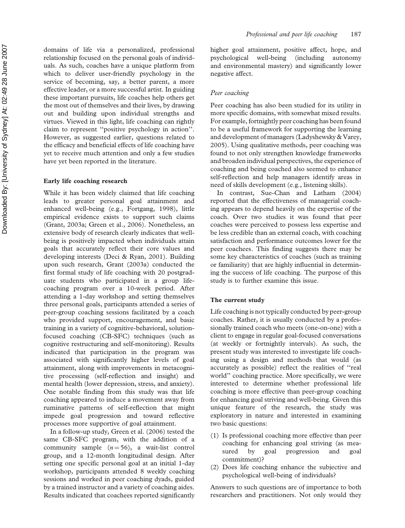domains of life via a personalized, professional relationship focused on the personal goals of individuals. As such, coaches have a unique platform from which to deliver user-friendly psychology in the service of becoming, say, a better parent, a more effective leader, or a more successful artist. In guiding these important pursuits, life coaches help others get the most out of themselves and their lives, by drawing out and building upon individual strengths and virtues. Viewed in this light, life coaching can rightly claim to represent ''positive psychology in action''. However, as suggested earlier, questions related to the efficacy and beneficial effects of life coaching have yet to receive much attention and only a few studies have yet been reported in the literature.

#### Early life coaching research

While it has been widely claimed that life coaching leads to greater personal goal attainment and enhanced well-being (e.g., Fortgang, 1998), little empirical evidence exists to support such claims (Grant, 2003a; Green et al., 2006). Nonetheless, an extensive body of research clearly indicates that wellbeing is positively impacted when individuals attain goals that accurately reflect their core values and developing interests (Deci & Ryan, 2001). Building upon such research, Grant (2003a) conducted the first formal study of life coaching with 20 postgraduate students who participated in a group lifecoaching program over a 10-week period. After attending a 1-day workshop and setting themselves three personal goals, participants attended a series of peer-group coaching sessions facilitated by a coach who provided support, encouragement, and basic training in a variety of cognitive-behavioral, solutionfocused coaching (CB-SFC) techniques (such as cognitive restructuring and self-monitoring). Results indicated that participation in the program was associated with significantly higher levels of goal attainment, along with improvements in metacognitive processing (self-reflection and insight) and mental health (lower depression, stress, and anxiety). One notable finding from this study was that life coaching appeared to induce a movement away from ruminative patterns of self-reflection that might impede goal progression and toward reflective processes more supportive of goal attainment.

In a follow-up study, Green et al. (2006) tested the same CB-SFC program, with the addition of a community sample  $(n = 56)$ , a wait-list control group, and a 12-month longitudinal design. After setting one specific personal goal at an initial 1-day workshop, participants attended 8 weekly coaching sessions and worked in peer coaching dyads, guided by a trained instructor and a variety of coaching aides. Results indicated that coachees reported significantly

higher goal attainment, positive affect, hope, and psychological well-being (including autonomy and environmental mastery) and significantly lower negative affect.

### Peer coaching

Peer coaching has also been studied for its utility in more specific domains, with somewhat mixed results. For example, fortnightly peer coaching has been found to be a useful framework for supporting the learning and development of managers (Ladyshewsky & Varey, 2005). Using qualitative methods, peer coaching was found to not only strengthen knowledge frameworks and broaden individual perspectives, the experience of coaching and being coached also seemed to enhance self-reflection and help managers identify areas in need of skills development (e.g., listening skills).

In contrast, Sue-Chan and Latham (2004) reported that the effectiveness of managerial coaching appears to depend heavily on the expertise of the coach. Over two studies it was found that peer coaches were perceived to possess less expertise and be less credible than an external coach, with coaching satisfaction and performance outcomes lower for the peer coachees. This finding suggests there may be some key characteristics of coaches (such as training or familiarity) that are highly influential in determining the success of life coaching. The purpose of this study is to further examine this issue.

#### The current study

Life coaching is not typically conducted by peer-group coaches. Rather, it is usually conducted by a professionally trained coach who meets (one-on-one) with a client to engage in regular goal-focused conversations (at weekly or fortnightly intervals). As such, the present study was interested to investigate life coaching using a design and methods that would (as accurately as possible) reflect the realities of ''real world'' coaching practice. More specifically, we were interested to determine whether professional life coaching is more effective than peer-group coaching for enhancing goal striving and well-being. Given this unique feature of the research, the study was exploratory in nature and interested in examining two basic questions:

- (1) Is professional coaching more effective than peer coaching for enhancing goal striving (as measured by goal progression and goal commitment)?
- (2) Does life coaching enhance the subjective and psychological well-being of individuals?

Answers to such questions are of importance to both researchers and practitioners. Not only would they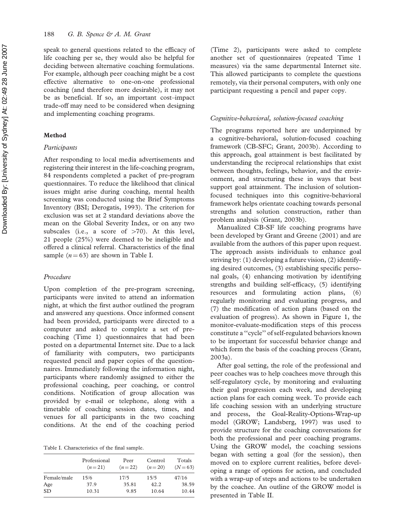speak to general questions related to the efficacy of life coaching per se, they would also be helpful for deciding between alternative coaching formulations. For example, although peer coaching might be a cost effective alternative to one-on-one professional coaching (and therefore more desirable), it may not be as beneficial. If so, an important cost–impact trade-off may need to be considered when designing and implementing coaching programs.

### Method

#### Participants

After responding to local media advertisements and registering their interest in the life-coaching program, 84 respondents completed a packet of pre-program questionnaires. To reduce the likelihood that clinical issues might arise during coaching, mental health screening was conducted using the Brief Symptoms Inventory (BSI; Derogatis, 1993). The criterion for exclusion was set at 2 standard deviations above the mean on the Global Severity Index, or on any two subscales (i.e., a score of  $>70$ ). At this level, 21 people (25%) were deemed to be ineligible and offered a clinical referral. Characteristics of the final sample ( $n = 63$ ) are shown in Table I.

## Procedure

Upon completion of the pre-program screening, participants were invited to attend an information night, at which the first author outlined the program and answered any questions. Once informed consent had been provided, participants were directed to a computer and asked to complete a set of precoaching (Time 1) questionnaires that had been posted on a departmental Internet site. Due to a lack of familiarity with computers, two participants requested pencil and paper copies of the questionnaires. Immediately following the information night, participants where randomly assigned to either the professional coaching, peer coaching, or control conditions. Notification of group allocation was provided by e-mail or telephone, along with a timetable of coaching session dates, times, and venues for all participants in the two coaching conditions. At the end of the coaching period

Table I. Characteristics of the final sample.

|             | Professional<br>$(n=21)$ | Peer<br>$(n=22)$ | Control<br>$(n=20)$ | Totals<br>$(N=63)$ |
|-------------|--------------------------|------------------|---------------------|--------------------|
| Female/male | 15/6                     | 17/5             | 15/5                | 47/16              |
| Age         | 37.9                     | 35.81            | 42.2                | 38.59              |
| <b>SD</b>   | 10.31                    | 9.85             | 10.64               | 10.44              |

(Time 2), participants were asked to complete another set of questionnaires (repeated Time 1 measures) via the same departmental Internet site. This allowed participants to complete the questions remotely, via their personal computers, with only one participant requesting a pencil and paper copy.

# Cognitive-behavioral, solution-focused coaching

The programs reported here are underpinned by a cognitive-behavioral, solution-focused coaching framework (CB-SFC; Grant, 2003b). According to this approach, goal attainment is best facilitated by understanding the reciprocal relationships that exist between thoughts, feelings, behavior, and the environment, and structuring these in ways that best support goal attainment. The inclusion of solutionfocused techniques into this cognitive-behavioral framework helps orientate coaching towards personal strengths and solution construction, rather than problem analysis (Grant, 2003b).

Manualized CB-SF life coaching programs have been developed by Grant and Greene (2001) and are available from the authors of this paper upon request. The approach assists individuals to enhance goal striving by: (1) developing a future vision, (2) identifying desired outcomes, (3) establishing specific personal goals, (4) enhancing motivation by identifying strengths and building self-efficacy, (5) identifying resources and formulating action plans, (6) regularly monitoring and evaluating progress, and (7) the modification of action plans (based on the evaluation of progress). As shown in Figure 1, the monitor-evaluate-modification steps of this process constitute a ''cycle'' of self-regulated behaviors known to be important for successful behavior change and which form the basis of the coaching process (Grant, 2003a).

After goal setting, the role of the professional and peer coaches was to help coachees move through this self-regulatory cycle, by monitoring and evaluating their goal progression each week, and developing action plans for each coming week. To provide each life coaching session with an underlying structure and process, the Goal-Reality-Options-Wrap-up model (GROW; Landsberg, 1997) was used to provide structure for the coaching conversations for both the professional and peer coaching programs. Using the GROW model, the coaching sessions began with setting a goal (for the session), then moved on to explore current realities, before developing a range of options for action, and concluded with a wrap-up of steps and actions to be undertaken by the coachee. An outline of the GROW model is presented in Table II.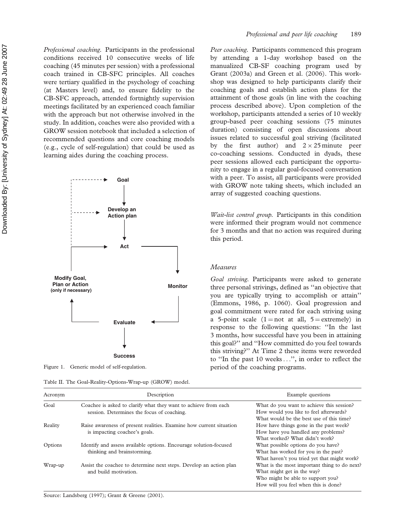Professional coaching. Participants in the professional conditions received 10 consecutive weeks of life coaching (45 minutes per session) with a professional coach trained in CB-SFC principles. All coaches were tertiary qualified in the psychology of coaching (at Masters level) and, to ensure fidelity to the CB-SFC approach, attended fortnightly supervision meetings facilitated by an experienced coach familiar with the approach but not otherwise involved in the study. In addition, coaches were also provided with a GROW session notebook that included a selection of recommended questions and core coaching models (e.g., cycle of self-regulation) that could be used as learning aides during the coaching process.



Figure 1. Generic model of self-regulation.



Peer coaching. Participants commenced this program by attending a 1-day workshop based on the manualized CB-SF coaching program used by Grant (2003a) and Green et al. (2006). This workshop was designed to help participants clarify their coaching goals and establish action plans for the attainment of those goals (in line with the coaching process described above). Upon completion of the workshop, participants attended a series of 10 weekly group-based peer coaching sessions (75 minutes duration) consisting of open discussions about issues related to successful goal striving (facilitated by the first author) and  $2 \times 25$  minute peer co-coaching sessions. Conducted in dyads, these peer sessions allowed each participant the opportunity to engage in a regular goal-focused conversation with a peer. To assist, all participants were provided with GROW note taking sheets, which included an array of suggested coaching questions.

Wait-list control group. Participants in this condition were informed their program would not commence for 3 months and that no action was required during this period.

### Measures

Goal striving. Participants were asked to generate three personal strivings, defined as ''an objective that you are typically trying to accomplish or attain'' (Emmons, 1986, p. 1060). Goal progression and goal commitment were rated for each striving using a 5-point scale  $(1 = not at all, 5 = extremely)$  in response to the following questions: ''In the last 3 months, how successful have you been in attaining this goal?'' and ''How committed do you feel towards this striving?'' At Time 2 these items were reworded to ''In the past 10 weeks...'', in order to reflect the period of the coaching programs.

| Acronym | Description                                                                                      | Example questions                            |  |  |
|---------|--------------------------------------------------------------------------------------------------|----------------------------------------------|--|--|
| Goal    | Coachee is asked to clarify what they want to achieve from each                                  | What do you want to achieve this session?    |  |  |
|         | session. Determines the focus of coaching.                                                       | How would you like to feel afterwards?       |  |  |
|         |                                                                                                  | What would be the best use of this time?     |  |  |
| Reality | Raise awareness of present realities. Examine how current situation                              | How have things gone in the past week?       |  |  |
|         | is impacting coachee's goals.                                                                    | How have you handled any problems?           |  |  |
|         |                                                                                                  | What worked? What didn't work?               |  |  |
| Options | Identify and assess available options. Encourage solution-focused<br>thinking and brainstorming. | What possible options do you have?           |  |  |
|         |                                                                                                  | What has worked for you in the past?         |  |  |
|         |                                                                                                  | What haven't you tried yet that might work?  |  |  |
| Wrap-up | Assist the coachee to determine next steps. Develop an action plan<br>and build motivation.      | What is the most important thing to do next? |  |  |
|         |                                                                                                  | What might get in the way?                   |  |  |
|         |                                                                                                  | Who might be able to support you?            |  |  |
|         |                                                                                                  | How will you feel when this is done?         |  |  |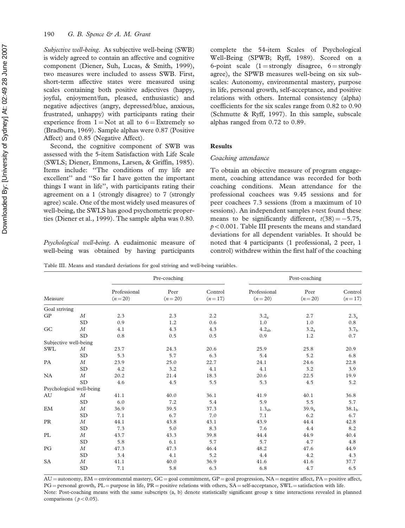Subjective well-being. As subjective well-being (SWB) is widely agreed to contain an affective and cognitive component (Diener, Suh, Lucas, & Smith, 1999), two measures were included to assess SWB. First, short-term affective states were measured using scales containing both positive adjectives (happy, joyful, enjoyment/fun, pleased, enthusiastic) and negative adjectives (angry, depressed/blue, anxious, frustrated, unhappy) with participants rating their experience from  $1 = Not$  at all to  $6 = Extremely$  so (Bradburn, 1969). Sample alphas were 0.87 (Positive Affect) and 0.85 (Negative Affect).

Second, the cognitive component of SWB was assessed with the 5-item Satisfaction with Life Scale (SWLS; Diener, Emmons, Larsen, & Griffin, 1985). Items include: ''The conditions of my life are excellent'' and ''So far I have gotten the important things I want in life'', with participants rating their agreement on a 1 (strongly disagree) to 7 (strongly agree) scale. One of the most widely used measures of well-being, the SWLS has good psychometric properties (Diener et al., 1999). The sample alpha was 0.80.

Psychological well-being. A eudaimonic measure of well-being was obtained by having participants

complete the 54-item Scales of Psychological Well-Being (SPWB; Ryff, 1989). Scored on a 6-point scale  $(1 =$ strongly disagree, 6 = strongly agree), the SPWB measures well-being on six subscales: Autonomy, environmental mastery, purpose in life, personal growth, self-acceptance, and positive relations with others. Internal consistency (alpha) coefficients for the six scales range from 0.82 to 0.90 (Schmutte & Ryff, 1997). In this sample, subscale alphas ranged from 0.72 to 0.89.

# Results

### Coaching attendance

To obtain an objective measure of program engagement, coaching attendance was recorded for both coaching conditions. Mean attendance for the professional coachees was 9.45 sessions and for peer coachees 7.3 sessions (from a maximum of 10 sessions). An independent samples *t*-test found these means to be significantly different,  $t(38) = -5.75$ ,  $p<0.001$ . Table III presents the means and standard deviations for all dependent variables. It should be noted that 4 participants (1 professional, 2 peer, 1 control) withdrew within the first half of the coaching

Table III. Means and standard deviations for goal striving and well-being variables.

| Measure       |                          | Pre-coaching             |                  |                     | Post-coaching            |                  |                     |
|---------------|--------------------------|--------------------------|------------------|---------------------|--------------------------|------------------|---------------------|
|               |                          | Professional<br>$(n=20)$ | Peer<br>$(n=20)$ | Control<br>$(n=17)$ | Professional<br>$(n=20)$ | Peer<br>$(n=20)$ | Control<br>$(n=17)$ |
| Goal striving |                          |                          |                  |                     |                          |                  |                     |
| GP            | M                        | 2.3                      | 2.3              | 2.2                 | $3.2_a$                  | 2.7              | $2.3_a$             |
|               | <b>SD</b>                | 0.9                      | 1.2              | 0.6                 | 1.0                      | 1.0              | 0.8                 |
| GC            | $\boldsymbol{M}$         | 4.1                      | 4.3              | 4.3                 | 4.2 <sub>ab</sub>        | $3.2_a$          | 3.7 <sub>b</sub>    |
|               | <b>SD</b>                | 0.8                      | 0.5              | 0.5                 | 0.9                      | 1.2              | 0.7                 |
|               | Subjective well-being    |                          |                  |                     |                          |                  |                     |
| <b>SWL</b>    | $\boldsymbol{M}$         | 23.7                     | 24.3             | 20.6                | 25.9                     | 25.8             | 20.9                |
|               | <b>SD</b>                | 5.3                      | 5.7              | 6.3                 | 5.4                      | 5.2              | 6.8                 |
| $\rm PA$      | M                        | 23.9                     | 25.0             | 22.7                | 24.1                     | 24.6             | 22.8                |
|               | <b>SD</b>                | 4.2                      | 3.2              | 4.1                 | 4.1                      | 3.2              | 3.9                 |
| NA            | M                        | 20.2                     | 21.4             | 18.3                | 20.6                     | 22.5             | 19.9                |
|               | <b>SD</b>                | 4.6                      | 4.5              | 5.5                 | 5.3                      | 4.5              | 5.2                 |
|               | Psychological well-being |                          |                  |                     |                          |                  |                     |
| AU            | $\boldsymbol{M}$         | 41.1                     | 40.0             | 36.1                | 41.9                     | 40.1             | 36.8                |
|               | <b>SD</b>                | 6.0                      | 7.2              | 5.4                 | 5.9                      | 5.5              | 5.7                 |
| EM            | M                        | 36.9                     | 39.5             | 37.3                | 1.3 <sub>ab</sub>        | $39.9_a$         | 38.1 <sub>b</sub>   |
|               | <b>SD</b>                | 7.1                      | 6.7              | 7.0                 | 7.1                      | 6.2              | 6.7                 |
| PR            | M                        | 44.1                     | 43.8             | 43.1                | 43.9                     | 44.4             | 42.8                |
|               | <b>SD</b>                | 7.3                      | 5.0              | 8.3                 | 7.6                      | 4.4              | 8.2                 |
| PL            | M                        | 43.7                     | 43.3             | 39.8                | 44.4                     | 44.9             | 40.4                |
|               | <b>SD</b>                | 5.8                      | 6.1              | 5.7                 | 5.7                      | 4.7              | 4.8                 |
| PG            | $\boldsymbol{M}$         | 47.3                     | 47.3             | 46.4                | 48.2                     | 47.6             | 44.9                |
|               | <b>SD</b>                | 3.4                      | 4.1              | 5.2                 | 4.4                      | 4.2              | 4.3                 |
| SA            | $\boldsymbol{M}$         | 41.1                     | 40.0             | 36.9                | 41.6                     | 41.6             | 37.7                |
|               | <b>SD</b>                | 7.1                      | 5.8              | 6.3                 | 6.8                      | 4.7              | 6.5                 |

 $AU =$  autonomy,  $EM =$  environmental mastery,  $GC =$  goal commitment,  $GP =$  goal progression,  $NA =$  negative affect,  $PA =$  positive affect,  $PG =$  personal growth,  $PL =$  purpose in life,  $PR =$  positive relations with others,  $SA =$  self-acceptance, SWL = satisfaction with life. Note: Post-coaching means with the same subscripts (a, b) denote statistically significant group x time interactions revealed in planned comparisons ( $p<0.05$ ).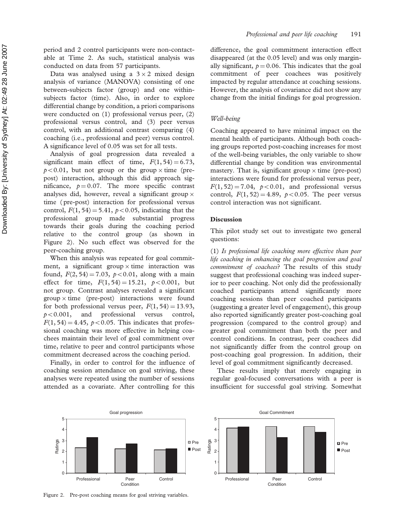period and 2 control participants were non-contactable at Time 2. As such, statistical analysis was conducted on data from 57 participants.

Data was analysed using a  $3 \times 2$  mixed design analysis of variance (MANOVA) consisting of one between-subjects factor (group) and one withinsubjects factor (time). Also, in order to explore differential change by condition, a priori comparisons were conducted on (1) professional versus peer, (2) professional versus control, and (3) peer versus control, with an additional contrast comparing (4) coaching (i.e., professional and peer) versus control. A significance level of 0.05 was set for all tests.

Analysis of goal progression data revealed a significant main effect of time,  $F(1, 54) = 6.73$ ,  $p<0.01$ , but not group or the group  $\times$  time (prepost) interaction, although this did approach significance,  $p = 0.07$ . The more specific contrast analyses did, however, reveal a significant group  $\times$ time ( pre-post) interaction for professional versus control,  $F(1, 54) = 5.41$ ,  $p < 0.05$ , indicating that the professional group made substantial progress towards their goals during the coaching period relative to the control group (as shown in Figure 2). No such effect was observed for the peer-coaching group.

When this analysis was repeated for goal commitment, a significant group  $\times$  time interaction was found,  $F(2, 54) = 7.03$ ,  $p < 0.01$ , along with a main effect for time,  $F(1, 54) = 15.21$ ,  $p < 0.001$ , but not group. Contrast analyses revealed a significant  $\text{group} \times \text{time}$  (pre-post) interactions were found for both professional versus peer,  $F(1, 54) = 13.93$ ,  $p<0.001$ , and professional versus control,  $F(1, 54) = 4.45$ ,  $p < 0.05$ . This indicates that professional coaching was more effective in helping coachees maintain their level of goal commitment over time, relative to peer and control participants whose commitment decreased across the coaching period.

Finally, in order to control for the influence of coaching session attendance on goal striving, these analyses were repeated using the number of sessions attended as a covariate. After controlling for this

difference, the goal commitment interaction effect disappeared (at the 0.05 level) and was only marginally significant,  $p = 0.06$ . This indicates that the goal commitment of peer coachees was positively impacted by regular attendance at coaching sessions. However, the analysis of covariance did not show any change from the initial findings for goal progression.

### Well-being

Coaching appeared to have minimal impact on the mental health of participants. Although both coaching groups reported post-coaching increases for most of the well-being variables, the only variable to show differential change by condition was environmental mastery. That is, significant group  $\times$  time (pre-post) interactions were found for professional versus peer,  $F(1, 52) = 7.04$ ,  $p < 0.01$ , and professional versus control,  $F(1, 52) = 4.89$ ,  $p < 0.05$ . The peer versus control interaction was not significant.

### Discussion

This pilot study set out to investigate two general questions:

(1) Is professional life coaching more effective than peer life coaching in enhancing the goal progression and goal commitment of coachees? The results of this study suggest that professional coaching was indeed superior to peer coaching. Not only did the professionally coached participants attend significantly more coaching sessions than peer coached participants (suggesting a greater level of engagement), this group also reported significantly greater post-coaching goal progression (compared to the control group) and greater goal commitment than both the peer and control conditions. In contrast, peer coachees did not significantly differ from the control group on post-coaching goal progression. In addition, their level of goal commitment significantly decreased.

These results imply that merely engaging in regular goal-focused conversations with a peer is insufficient for successful goal striving. Somewhat



Figure 2. Pre-post coaching means for goal striving variables.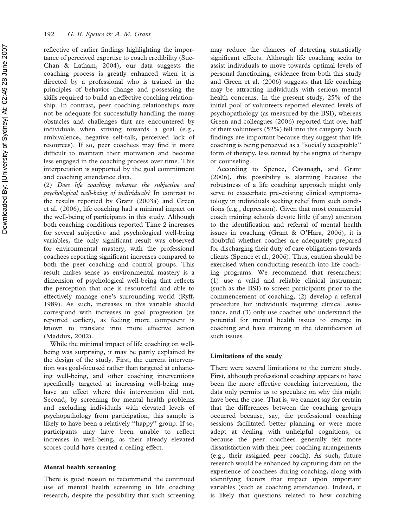reflective of earlier findings highlighting the importance of perceived expertise to coach credibility (Sue-Chan & Latham, 2004), our data suggests the coaching process is greatly enhanced when it is directed by a professional who is trained in the principles of behavior change and possessing the skills required to build an effective coaching relationship. In contrast, peer coaching relationships may not be adequate for successfully handling the many obstacles and challenges that are encountered by individuals when striving towards a goal (e.g., ambivalence, negative self-talk, perceived lack of resources). If so, peer coachees may find it more difficult to maintain their motivation and become less engaged in the coaching process over time. This interpretation is supported by the goal commitment and coaching attendance data.

(2) Does life coaching enhance the subjective and psychological well-being of individuals? In contrast to the results reported by Grant (2003a) and Green et al. (2006), life coaching had a minimal impact on the well-being of participants in this study. Although both coaching conditions reported Time 2 increases for several subjective and psychological well-being variables, the only significant result was observed for environmental mastery, with the professional coachees reporting significant increases compared to both the peer coaching and control groups. This result makes sense as environmental mastery is a dimension of psychological well-being that reflects the perception that one is resourceful and able to effectively manage one's surrounding world (Ryff, 1989). As such, increases in this variable should correspond with increases in goal progression (as reported earlier), as feeling more competent is known to translate into more effective action (Maddux, 2002).

While the minimal impact of life coaching on wellbeing was surprising, it may be partly explained by the design of the study. First, the current intervention was goal-focused rather than targeted at enhancing well-being, and other coaching interventions specifically targeted at increasing well-being may have an effect where this intervention did not. Second, by screening for mental health problems and excluding individuals with elevated levels of psychopathology from participation, this sample is likely to have been a relatively ''happy'' group. If so, participants may have been unable to reflect increases in well-being, as their already elevated scores could have created a ceiling effect.

#### Mental health screening

There is good reason to recommend the continued use of mental health screening in life coaching research, despite the possibility that such screening may reduce the chances of detecting statistically significant effects. Although life coaching seeks to assist individuals to move towards optimal levels of personal functioning, evidence from both this study and Green et al. (2006) suggests that life coaching may be attracting individuals with serious mental health concerns. In the present study, 25% of the initial pool of volunteers reported elevated levels of psychopathology (as measured by the BSI), whereas Green and colleagues (2006) reported that over half of their volunteers (52%) fell into this category. Such findings are important because they suggest that life coaching is being perceived as a ''socially acceptable'' form of therapy, less tainted by the stigma of therapy or counseling.

According to Spence, Cavanagh, and Grant (2006), this possibility is alarming because the robustness of a life coaching approach might only serve to exacerbate pre-existing clinical symptomatology in individuals seeking relief from such conditions (e.g., depression). Given that most commercial coach training schools devote little (if any) attention to the identification and referral of mental health issues in coaching (Grant & O'Hara, 2006), it is doubtful whether coaches are adequately prepared for discharging their duty of care obligations towards clients (Spence et al., 2006). Thus, caution should be exercised when conducting research into life coaching programs. We recommend that researchers: (1) use a valid and reliable clinical instrument (such as the BSI) to screen participants prior to the commencement of coaching, (2) develop a referral procedure for individuals requiring clinical assistance, and (3) only use coaches who understand the potential for mental health issues to emerge in coaching and have training in the identification of such issues.

### Limitations of the study

There were several limitations to the current study. First, although professional coaching appears to have been the more effective coaching intervention, the data only permits us to speculate on why this might have been the case. That is, we cannot say for certain that the differences between the coaching groups occurred because, say, the professional coaching sessions facilitated better planning or were more adept at dealing with unhelpful cognitions, or because the peer coachees generally felt more dissatisfaction with their peer coaching arrangements (e.g., their assigned peer coach). As such, future research would be enhanced by capturing data on the experience of coachees during coaching, along with identifying factors that impact upon important variables (such as coaching attendance). Indeed, it is likely that questions related to how coaching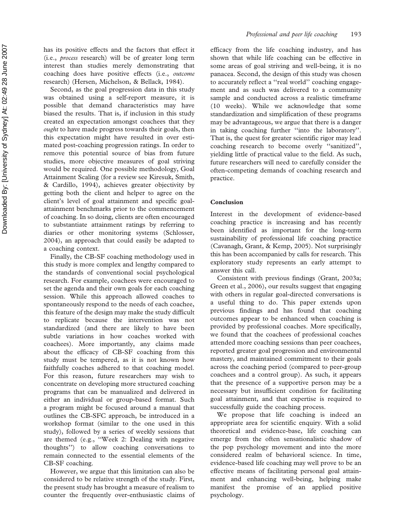has its positive effects and the factors that effect it (i.e., process research) will be of greater long term interest than studies merely demonstrating that coaching does have positive effects (i.e., outcome research) (Hersen, Michelson, & Bellack, 1984).

Second, as the goal progression data in this study was obtained using a self-report measure, it is possible that demand characteristics may have biased the results. That is, if inclusion in this study created an expectation amongst coachees that they ought to have made progress towards their goals, then this expectation might have resulted in over estimated post-coaching progression ratings. In order to remove this potential source of bias from future studies, more objective measures of goal striving would be required. One possible methodology, Goal Attainment Scaling (for a review see Kiresuk, Smith, & Cardillo, 1994), achieves greater objectivity by getting both the client and helper to agree on the client's level of goal attainment and specific goalattainment benchmarks prior to the commencement of coaching. In so doing, clients are often encouraged to substantiate attainment ratings by referring to diaries or other monitoring systems (Schlosser, 2004), an approach that could easily be adapted to a coaching context.

Finally, the CB-SF coaching methodology used in this study is more complex and lengthy compared to the standards of conventional social psychological research. For example, coachees were encouraged to set the agenda and their own goals for each coaching session. While this approach allowed coaches to spontaneously respond to the needs of each coachee, this feature of the design may make the study difficult to replicate because the intervention was not standardized (and there are likely to have been subtle variations in how coaches worked with coachees). More importantly, any claims made about the efficacy of CB-SF coaching from this study must be tempered, as it is not known how faithfully coaches adhered to that coaching model. For this reason, future researchers may wish to concentrate on developing more structured coaching programs that can be manualized and delivered in either an individual or group-based format. Such a program might be focused around a manual that outlines the CB-SFC approach, be introduced in a workshop format (similar to the one used in this study), followed by a series of weekly sessions that are themed (e.g., ''Week 2: Dealing with negative thoughts'') to allow coaching conversations to remain connected to the essential elements of the CB-SF coaching.

However, we argue that this limitation can also be considered to be relative strength of the study. First, the present study has brought a measure of realism to counter the frequently over-enthusiastic claims of

efficacy from the life coaching industry, and has shown that while life coaching can be effective in some areas of goal striving and well-being, it is no panacea. Second, the design of this study was chosen to accurately reflect a ''real world'' coaching engagement and as such was delivered to a community sample and conducted across a realistic timeframe (10 weeks). While we acknowledge that some standardization and simplification of these programs may be advantageous, we argue that there is a danger in taking coaching further ''into the laboratory''. That is, the quest for greater scientific rigor may lead coaching research to become overly ''sanitized'', yielding little of practical value to the field. As such, future researchers will need to carefully consider the often-competing demands of coaching research and practice.

### Conclusion

Interest in the development of evidence-based coaching practice is increasing and has recently been identified as important for the long-term sustainability of professional life coaching practice (Cavanagh, Grant, & Kemp, 2005). Not surprisingly this has been accompanied by calls for research. This exploratory study represents an early attempt to answer this call.

Consistent with previous findings (Grant, 2003a; Green et al., 2006), our results suggest that engaging with others in regular goal-directed conversations is a useful thing to do. This paper extends upon previous findings and has found that coaching outcomes appear to be enhanced when coaching is provided by professional coaches. More specifically, we found that the coachees of professional coaches attended more coaching sessions than peer coachees, reported greater goal progression and environmental mastery, and maintained commitment to their goals across the coaching period (compared to peer-group coachees and a control group). As such, it appears that the presence of a supportive person may be a necessary but insufficient condition for facilitating goal attainment, and that expertise is required to successfully guide the coaching process.

We propose that life coaching is indeed an appropriate area for scientific enquiry. With a solid theoretical and evidence-base, life coaching can emerge from the often sensationalistic shadow of the pop psychology movement and into the more considered realm of behavioral science. In time, evidence-based life coaching may well prove to be an effective means of facilitating personal goal attainment and enhancing well-being, helping make manifest the promise of an applied positive psychology.